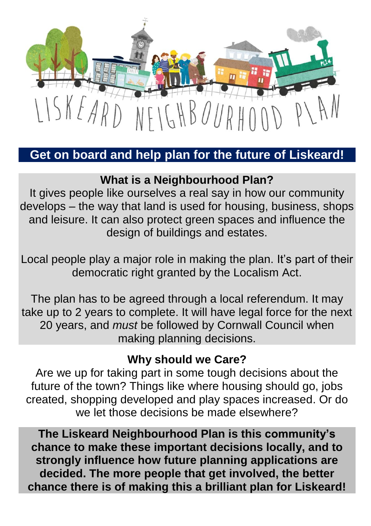

## **Get on board and help plan for the future of Liskeard!**

## **What is a Neighbourhood Plan?**

It gives people like ourselves a real say in how our community develops – the way that land is used for housing, business, shops and leisure. It can also protect green spaces and influence the design of buildings and estates.

Local people play a major role in making the plan. It's part of their democratic right granted by the Localism Act.

The plan has to be agreed through a local referendum. It may take up to 2 years to complete. It will have legal force for the next 20 years, and *must* be followed by Cornwall Council when making planning decisions.

#### **Why should we Care?**

Are we up for taking part in some tough decisions about the future of the town? Things like where housing should go, jobs created, shopping developed and play spaces increased. Or do we let those decisions be made elsewhere?

**The Liskeard Neighbourhood Plan is this community's chance to make these important decisions locally, and to strongly influence how future planning applications are decided. The more people that get involved, the better chance there is of making this a brilliant plan for Liskeard!**